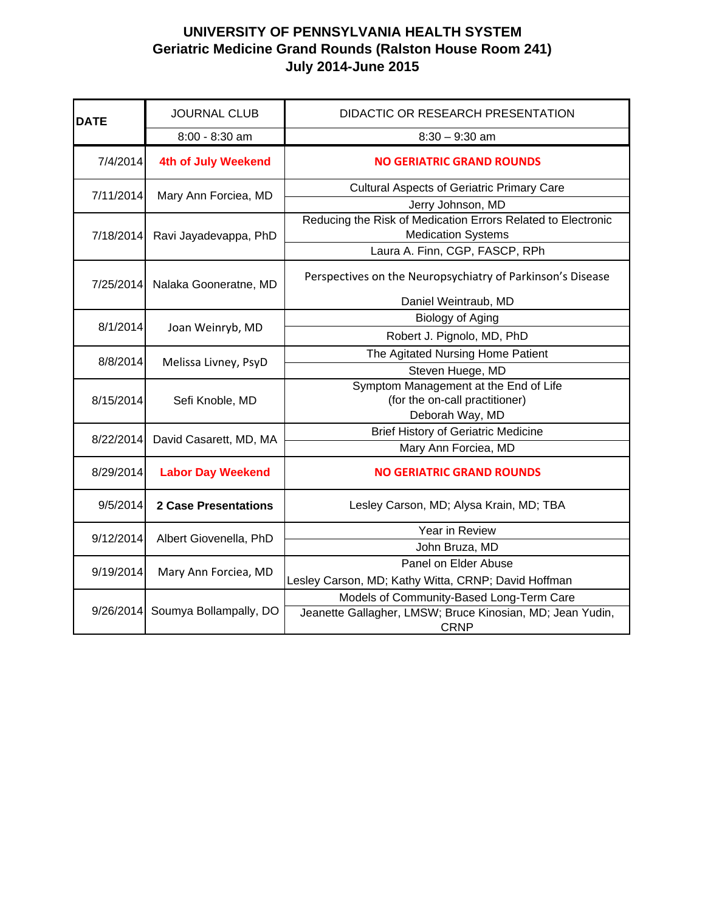| <b>DATE</b> | <b>JOURNAL CLUB</b>         | DIDACTIC OR RESEARCH PRESENTATION                            |
|-------------|-----------------------------|--------------------------------------------------------------|
|             | $8:00 - 8:30$ am            | $8:30 - 9:30$ am                                             |
| 7/4/2014    | 4th of July Weekend         | <b>NO GERIATRIC GRAND ROUNDS</b>                             |
| 7/11/2014   | Mary Ann Forciea, MD        | <b>Cultural Aspects of Geriatric Primary Care</b>            |
|             |                             | Jerry Johnson, MD                                            |
|             | Ravi Jayadevappa, PhD       | Reducing the Risk of Medication Errors Related to Electronic |
| 7/18/2014   |                             | <b>Medication Systems</b>                                    |
|             |                             | Laura A. Finn, CGP, FASCP, RPh                               |
| 7/25/2014   | Nalaka Gooneratne, MD       | Perspectives on the Neuropsychiatry of Parkinson's Disease   |
|             |                             | Daniel Weintraub, MD                                         |
|             | Joan Weinryb, MD            | <b>Biology of Aging</b>                                      |
| 8/1/2014    |                             | Robert J. Pignolo, MD, PhD                                   |
|             | Melissa Livney, PsyD        | The Agitated Nursing Home Patient                            |
| 8/8/2014    |                             | Steven Huege, MD                                             |
|             | Sefi Knoble, MD             | Symptom Management at the End of Life                        |
| 8/15/2014   |                             | (for the on-call practitioner)                               |
|             |                             | Deborah Way, MD                                              |
| 8/22/2014   | David Casarett, MD, MA      | <b>Brief History of Geriatric Medicine</b>                   |
|             |                             | Mary Ann Forciea, MD                                         |
| 8/29/2014   | <b>Labor Day Weekend</b>    | <b>NO GERIATRIC GRAND ROUNDS</b>                             |
| 9/5/2014    | <b>2 Case Presentations</b> | Lesley Carson, MD; Alysa Krain, MD; TBA                      |
|             | Albert Giovenella, PhD      | Year in Review                                               |
| 9/12/2014   |                             | John Bruza, MD                                               |
| 9/19/2014   | Mary Ann Forciea, MD        | Panel on Elder Abuse                                         |
|             |                             | Lesley Carson, MD; Kathy Witta, CRNP; David Hoffman          |
| 9/26/2014   | Soumya Bollampally, DO      | Models of Community-Based Long-Term Care                     |
|             |                             | Jeanette Gallagher, LMSW; Bruce Kinosian, MD; Jean Yudin,    |
|             |                             | <b>CRNP</b>                                                  |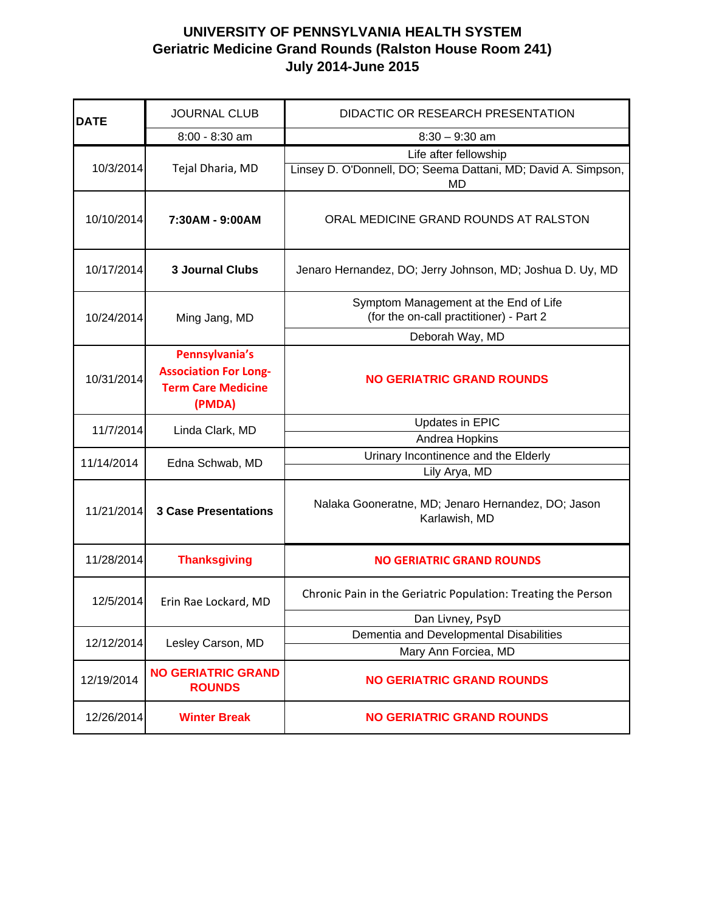| <b>DATE</b> | <b>JOURNAL CLUB</b>                                                                   | DIDACTIC OR RESEARCH PRESENTATION                                                |
|-------------|---------------------------------------------------------------------------------------|----------------------------------------------------------------------------------|
|             | 8:00 - 8:30 am                                                                        | $8:30 - 9:30$ am                                                                 |
|             |                                                                                       | Life after fellowship                                                            |
| 10/3/2014   | Tejal Dharia, MD                                                                      | Linsey D. O'Donnell, DO; Seema Dattani, MD; David A. Simpson,<br><b>MD</b>       |
| 10/10/2014  | 7:30AM - 9:00AM                                                                       | ORAL MEDICINE GRAND ROUNDS AT RALSTON                                            |
| 10/17/2014  | <b>3 Journal Clubs</b>                                                                | Jenaro Hernandez, DO; Jerry Johnson, MD; Joshua D. Uy, MD                        |
| 10/24/2014  | Ming Jang, MD                                                                         | Symptom Management at the End of Life<br>(for the on-call practitioner) - Part 2 |
|             |                                                                                       | Deborah Way, MD                                                                  |
| 10/31/2014  | Pennsylvania's<br><b>Association For Long-</b><br><b>Term Care Medicine</b><br>(PMDA) | <b>NO GERIATRIC GRAND ROUNDS</b>                                                 |
| 11/7/2014   | Linda Clark, MD                                                                       | Updates in EPIC                                                                  |
|             | Edna Schwab, MD                                                                       | Andrea Hopkins                                                                   |
| 11/14/2014  |                                                                                       | Urinary Incontinence and the Elderly                                             |
|             |                                                                                       | Lily Arya, MD                                                                    |
| 11/21/2014  | <b>3 Case Presentations</b>                                                           | Nalaka Gooneratne, MD; Jenaro Hernandez, DO; Jason<br>Karlawish, MD              |
| 11/28/2014  | <b>Thanksgiving</b>                                                                   | <b>NO GERIATRIC GRAND ROUNDS</b>                                                 |
| 12/5/2014   | Erin Rae Lockard, MD                                                                  | Chronic Pain in the Geriatric Population: Treating the Person                    |
| 12/12/2014  | Lesley Carson, MD                                                                     | Dan Livney, PsyD                                                                 |
|             |                                                                                       | Dementia and Developmental Disabilities                                          |
|             |                                                                                       | Mary Ann Forciea, MD                                                             |
| 12/19/2014  | <b>NO GERIATRIC GRAND</b><br><b>ROUNDS</b>                                            | <b>NO GERIATRIC GRAND ROUNDS</b>                                                 |
| 12/26/2014  | <b>Winter Break</b>                                                                   | <b>NO GERIATRIC GRAND ROUNDS</b>                                                 |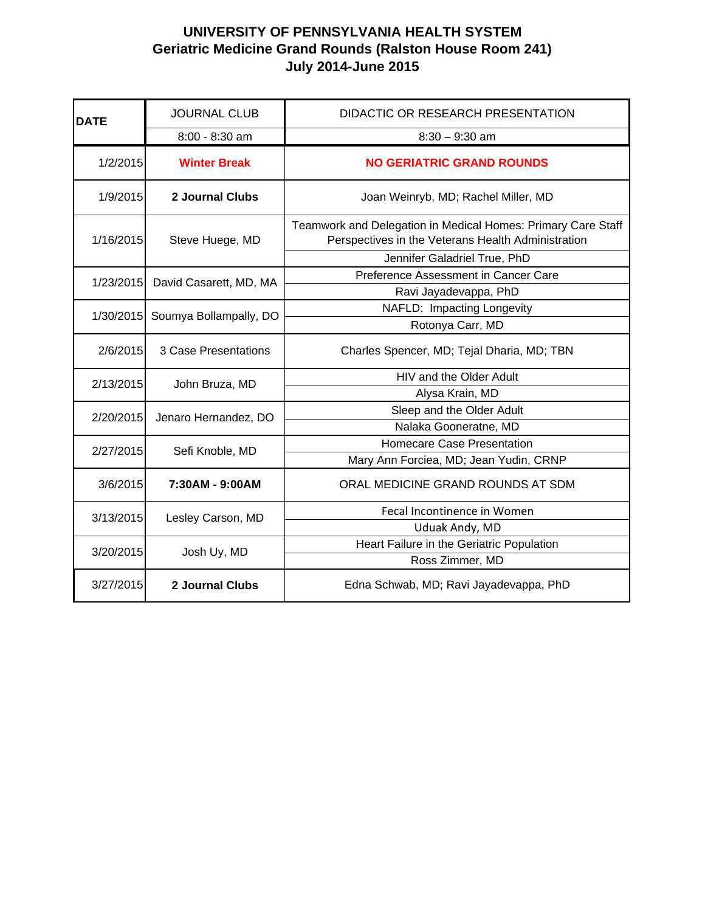| <b>DATE</b> | <b>JOURNAL CLUB</b>         | DIDACTIC OR RESEARCH PRESENTATION                                                                                  |
|-------------|-----------------------------|--------------------------------------------------------------------------------------------------------------------|
|             | 8:00 - 8:30 am              | $8:30 - 9:30$ am                                                                                                   |
| 1/2/2015    | <b>Winter Break</b>         | <b>NO GERIATRIC GRAND ROUNDS</b>                                                                                   |
| 1/9/2015    | 2 Journal Clubs             | Joan Weinryb, MD; Rachel Miller, MD                                                                                |
| 1/16/2015   | Steve Huege, MD             | Teamwork and Delegation in Medical Homes: Primary Care Staff<br>Perspectives in the Veterans Health Administration |
|             |                             | Jennifer Galadriel True, PhD                                                                                       |
| 1/23/2015   | David Casarett, MD, MA      | Preference Assessment in Cancer Care                                                                               |
|             |                             | Ravi Jayadevappa, PhD                                                                                              |
| 1/30/2015   | Soumya Bollampally, DO      | NAFLD: Impacting Longevity                                                                                         |
|             |                             | Rotonya Carr, MD                                                                                                   |
| 2/6/2015    | <b>3 Case Presentations</b> | Charles Spencer, MD; Tejal Dharia, MD; TBN                                                                         |
| 2/13/2015   | John Bruza, MD              | HIV and the Older Adult                                                                                            |
|             |                             | Alysa Krain, MD                                                                                                    |
| 2/20/2015   | Jenaro Hernandez, DO        | Sleep and the Older Adult                                                                                          |
|             |                             | Nalaka Gooneratne, MD                                                                                              |
| 2/27/2015   | Sefi Knoble, MD             | <b>Homecare Case Presentation</b>                                                                                  |
|             |                             | Mary Ann Forciea, MD; Jean Yudin, CRNP                                                                             |
| 3/6/2015    | 7:30AM - 9:00AM             | ORAL MEDICINE GRAND ROUNDS AT SDM                                                                                  |
| 3/13/2015   | Lesley Carson, MD           | Fecal Incontinence in Women                                                                                        |
|             |                             | Uduak Andy, MD                                                                                                     |
| 3/20/2015   | Josh Uy, MD                 | Heart Failure in the Geriatric Population                                                                          |
|             |                             | Ross Zimmer, MD                                                                                                    |
| 3/27/2015   | 2 Journal Clubs             | Edna Schwab, MD; Ravi Jayadevappa, PhD                                                                             |